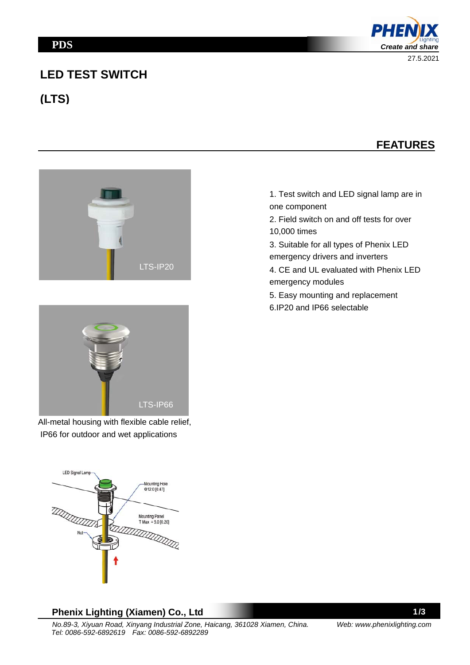# **LED TEST SWITCH**

**(LTS)**









All-metal housing with flexible cable relief, IP66 for outdoor and wet applications



1. Test switch and LED signal lamp are in one component

- 2. Field switch on and off tests for over 10,000 times
- 3. Suitable for all types of Phenix LED emergency drivers and inverters
- 4. CE and UL evaluated with Phenix LED emergency modules
- 5. Easy mounting and replacement
- 6.IP20 and IP66 selectable

#### **Phenix Lighting (Xiamen) Co., Ltd**

1/3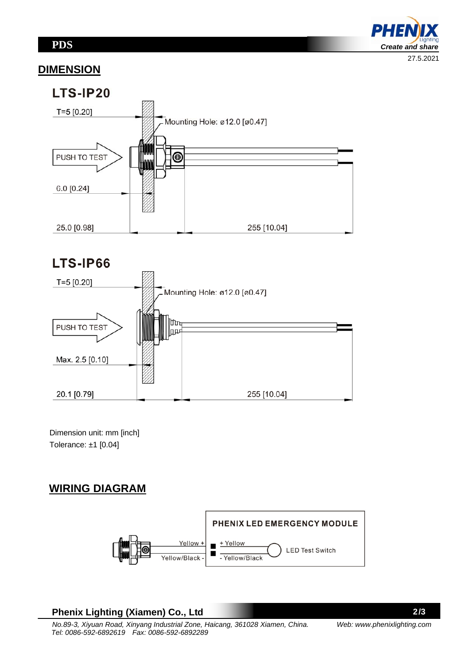PHE *Create and share*  27.5.2021

#### **DIMENSION**



# LTS-IP66



 Dimension unit: mm [inch] Tolerance: ±1 [0.04]

# **WIRING DIAGRAM**



#### **Phenix Lighting (Xiamen) Co., Ltd**

2/3